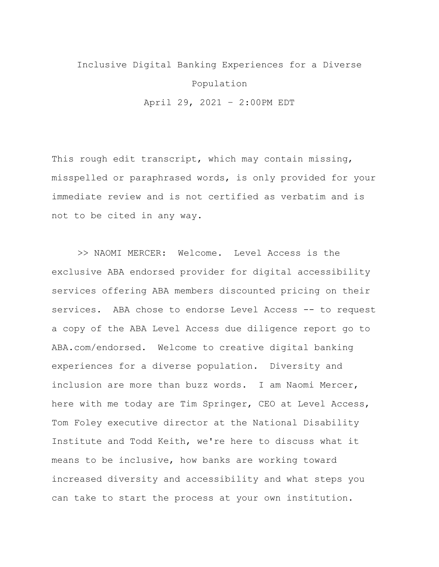## Inclusive Digital Banking Experiences for a Diverse Population April 29, 2021 – 2:00PM EDT

This rough edit transcript, which may contain missing, misspelled or paraphrased words, is only provided for your immediate review and is not certified as verbatim and is not to be cited in any way.

>> NAOMI MERCER: Welcome. Level Access is the exclusive ABA endorsed provider for digital accessibility services offering ABA members discounted pricing on their services. ABA chose to endorse Level Access -- to request a copy of the ABA Level Access due diligence report go to ABA.com/endorsed. Welcome to creative digital banking experiences for a diverse population. Diversity and inclusion are more than buzz words. I am Naomi Mercer, here with me today are Tim Springer, CEO at Level Access, Tom Foley executive director at the National Disability Institute and Todd Keith, we're here to discuss what it means to be inclusive, how banks are working toward increased diversity and accessibility and what steps you can take to start the process at your own institution.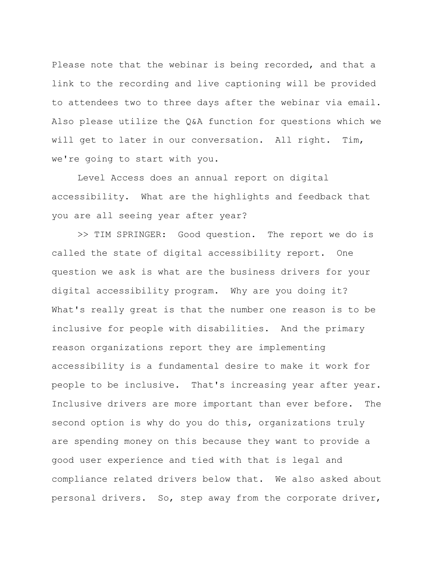Please note that the webinar is being recorded, and that a link to the recording and live captioning will be provided to attendees two to three days after the webinar via email. Also please utilize the Q&A function for questions which we will get to later in our conversation. All right. Tim, we're going to start with you.

Level Access does an annual report on digital accessibility. What are the highlights and feedback that you are all seeing year after year?

>> TIM SPRINGER: Good question. The report we do is called the state of digital accessibility report. One question we ask is what are the business drivers for your digital accessibility program. Why are you doing it? What's really great is that the number one reason is to be inclusive for people with disabilities. And the primary reason organizations report they are implementing accessibility is a fundamental desire to make it work for people to be inclusive. That's increasing year after year. Inclusive drivers are more important than ever before. The second option is why do you do this, organizations truly are spending money on this because they want to provide a good user experience and tied with that is legal and compliance related drivers below that. We also asked about personal drivers. So, step away from the corporate driver,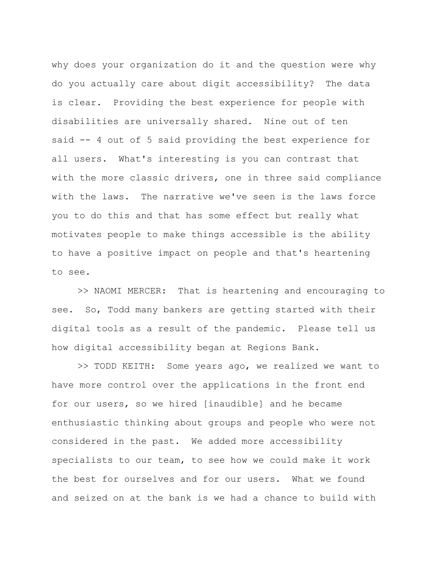why does your organization do it and the question were why do you actually care about digit accessibility? The data is clear. Providing the best experience for people with disabilities are universally shared. Nine out of ten said -- 4 out of 5 said providing the best experience for all users. What's interesting is you can contrast that with the more classic drivers, one in three said compliance with the laws. The narrative we've seen is the laws force you to do this and that has some effect but really what motivates people to make things accessible is the ability to have a positive impact on people and that's heartening to see.

>> NAOMI MERCER: That is heartening and encouraging to see. So, Todd many bankers are getting started with their digital tools as a result of the pandemic. Please tell us how digital accessibility began at Regions Bank.

>> TODD KEITH: Some years ago, we realized we want to have more control over the applications in the front end for our users, so we hired [inaudible] and he became enthusiastic thinking about groups and people who were not considered in the past. We added more accessibility specialists to our team, to see how we could make it work the best for ourselves and for our users. What we found and seized on at the bank is we had a chance to build with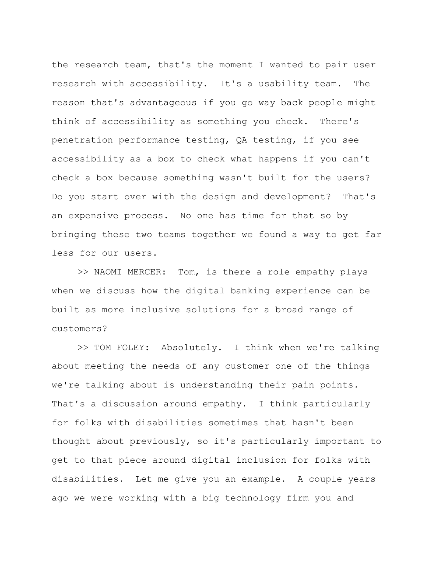the research team, that's the moment I wanted to pair user research with accessibility. It's a usability team. The reason that's advantageous if you go way back people might think of accessibility as something you check. There's penetration performance testing, QA testing, if you see accessibility as a box to check what happens if you can't check a box because something wasn't built for the users? Do you start over with the design and development? That's an expensive process. No one has time for that so by bringing these two teams together we found a way to get far less for our users.

>> NAOMI MERCER: Tom, is there a role empathy plays when we discuss how the digital banking experience can be built as more inclusive solutions for a broad range of customers?

>> TOM FOLEY: Absolutely. I think when we're talking about meeting the needs of any customer one of the things we're talking about is understanding their pain points. That's a discussion around empathy. I think particularly for folks with disabilities sometimes that hasn't been thought about previously, so it's particularly important to get to that piece around digital inclusion for folks with disabilities. Let me give you an example. A couple years ago we were working with a big technology firm you and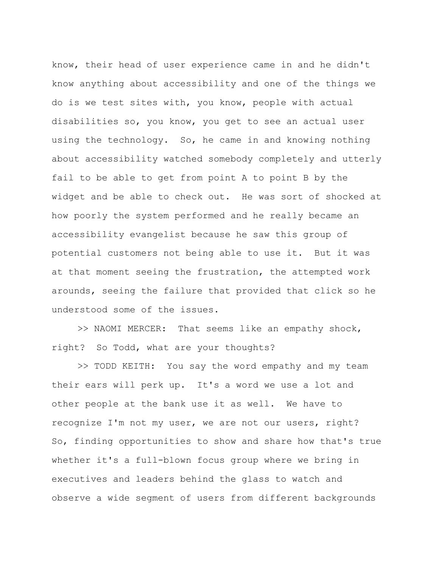know, their head of user experience came in and he didn't know anything about accessibility and one of the things we do is we test sites with, you know, people with actual disabilities so, you know, you get to see an actual user using the technology. So, he came in and knowing nothing about accessibility watched somebody completely and utterly fail to be able to get from point A to point B by the widget and be able to check out. He was sort of shocked at how poorly the system performed and he really became an accessibility evangelist because he saw this group of potential customers not being able to use it. But it was at that moment seeing the frustration, the attempted work arounds, seeing the failure that provided that click so he understood some of the issues.

>> NAOMI MERCER: That seems like an empathy shock, right? So Todd, what are your thoughts?

>> TODD KEITH: You say the word empathy and my team their ears will perk up. It's a word we use a lot and other people at the bank use it as well. We have to recognize I'm not my user, we are not our users, right? So, finding opportunities to show and share how that's true whether it's a full-blown focus group where we bring in executives and leaders behind the glass to watch and observe a wide segment of users from different backgrounds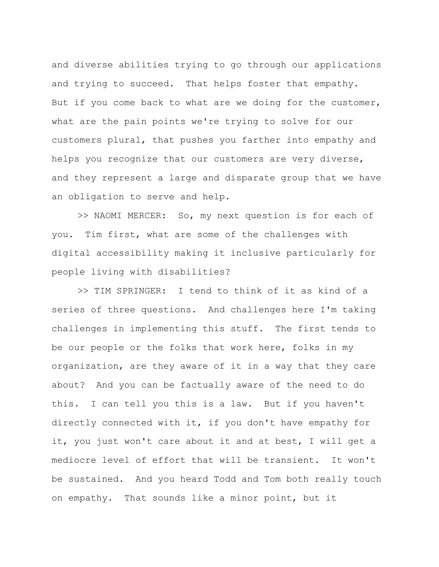and diverse abilities trying to go through our applications and trying to succeed. That helps foster that empathy. But if you come back to what are we doing for the customer, what are the pain points we're trying to solve for our customers plural, that pushes you farther into empathy and helps you recognize that our customers are very diverse, and they represent a large and disparate group that we have an obligation to serve and help.

>> NAOMI MERCER: So, my next question is for each of you. Tim first, what are some of the challenges with digital accessibility making it inclusive particularly for people living with disabilities?

>> TIM SPRINGER: I tend to think of it as kind of a series of three questions. And challenges here I'm taking challenges in implementing this stuff. The first tends to be our people or the folks that work here, folks in my organization, are they aware of it in a way that they care about? And you can be factually aware of the need to do this. I can tell you this is a law. But if you haven't directly connected with it, if you don't have empathy for it, you just won't care about it and at best, I will get a mediocre level of effort that will be transient. It won't be sustained. And you heard Todd and Tom both really touch on empathy. That sounds like a minor point, but it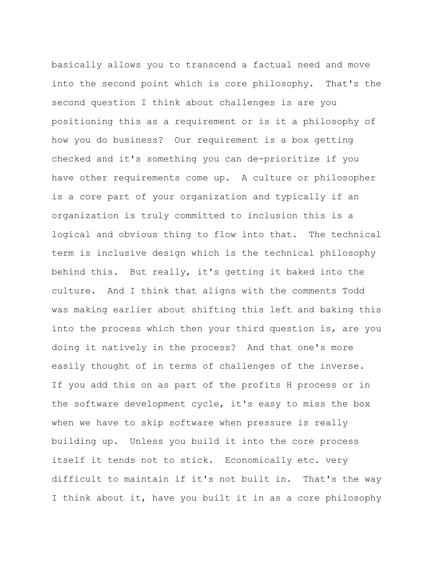basically allows you to transcend a factual need and move into the second point which is core philosophy. That's the second question I think about challenges is are you positioning this as a requirement or is it a philosophy of how you do business? Our requirement is a box getting checked and it's something you can de-prioritize if you have other requirements come up. A culture or philosopher is a core part of your organization and typically if an organization is truly committed to inclusion this is a logical and obvious thing to flow into that. The technical term is inclusive design which is the technical philosophy behind this. But really, it's getting it baked into the culture. And I think that aligns with the comments Todd was making earlier about shifting this left and baking this into the process which then your third question is, are you doing it natively in the process? And that one's more easily thought of in terms of challenges of the inverse. If you add this on as part of the profits H process or in the software development cycle, it's easy to miss the box when we have to skip software when pressure is really building up. Unless you build it into the core process itself it tends not to stick. Economically etc. very difficult to maintain if it's not built in. That's the way I think about it, have you built it in as a core philosophy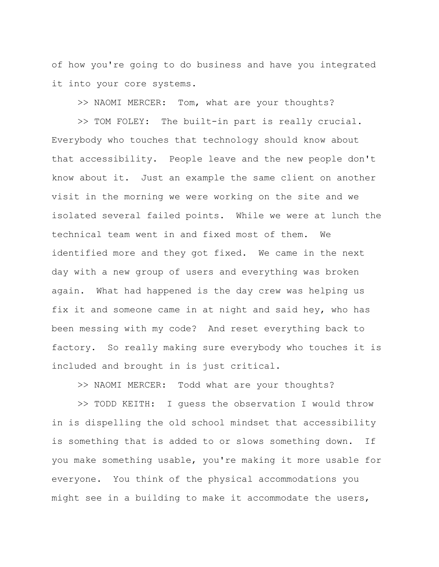of how you're going to do business and have you integrated it into your core systems.

>> NAOMI MERCER: Tom, what are your thoughts?

>> TOM FOLEY: The built-in part is really crucial. Everybody who touches that technology should know about that accessibility. People leave and the new people don't know about it. Just an example the same client on another visit in the morning we were working on the site and we isolated several failed points. While we were at lunch the technical team went in and fixed most of them. We identified more and they got fixed. We came in the next day with a new group of users and everything was broken again. What had happened is the day crew was helping us fix it and someone came in at night and said hey, who has been messing with my code? And reset everything back to factory. So really making sure everybody who touches it is included and brought in is just critical.

>> NAOMI MERCER: Todd what are your thoughts?

>> TODD KEITH: I guess the observation I would throw in is dispelling the old school mindset that accessibility is something that is added to or slows something down. If you make something usable, you're making it more usable for everyone. You think of the physical accommodations you might see in a building to make it accommodate the users,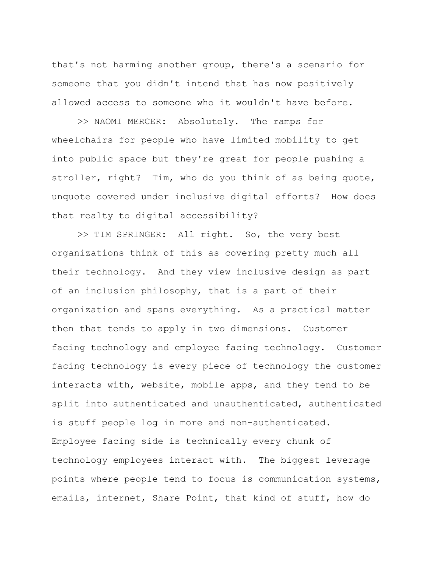that's not harming another group, there's a scenario for someone that you didn't intend that has now positively allowed access to someone who it wouldn't have before.

>> NAOMI MERCER: Absolutely. The ramps for wheelchairs for people who have limited mobility to get into public space but they're great for people pushing a stroller, right? Tim, who do you think of as being quote, unquote covered under inclusive digital efforts? How does that realty to digital accessibility?

>> TIM SPRINGER: All right. So, the very best organizations think of this as covering pretty much all their technology. And they view inclusive design as part of an inclusion philosophy, that is a part of their organization and spans everything. As a practical matter then that tends to apply in two dimensions. Customer facing technology and employee facing technology. Customer facing technology is every piece of technology the customer interacts with, website, mobile apps, and they tend to be split into authenticated and unauthenticated, authenticated is stuff people log in more and non-authenticated. Employee facing side is technically every chunk of technology employees interact with. The biggest leverage points where people tend to focus is communication systems, emails, internet, Share Point, that kind of stuff, how do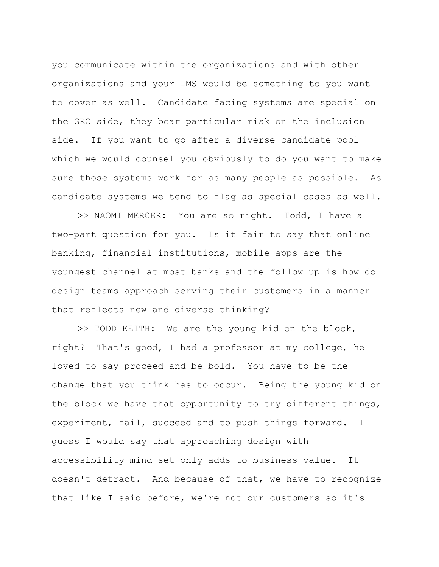you communicate within the organizations and with other organizations and your LMS would be something to you want to cover as well. Candidate facing systems are special on the GRC side, they bear particular risk on the inclusion side. If you want to go after a diverse candidate pool which we would counsel you obviously to do you want to make sure those systems work for as many people as possible. As candidate systems we tend to flag as special cases as well.

>> NAOMI MERCER: You are so right. Todd, I have a two-part question for you. Is it fair to say that online banking, financial institutions, mobile apps are the youngest channel at most banks and the follow up is how do design teams approach serving their customers in a manner that reflects new and diverse thinking?

>> TODD KEITH: We are the young kid on the block, right? That's good, I had a professor at my college, he loved to say proceed and be bold. You have to be the change that you think has to occur. Being the young kid on the block we have that opportunity to try different things, experiment, fail, succeed and to push things forward. I guess I would say that approaching design with accessibility mind set only adds to business value. It doesn't detract. And because of that, we have to recognize that like I said before, we're not our customers so it's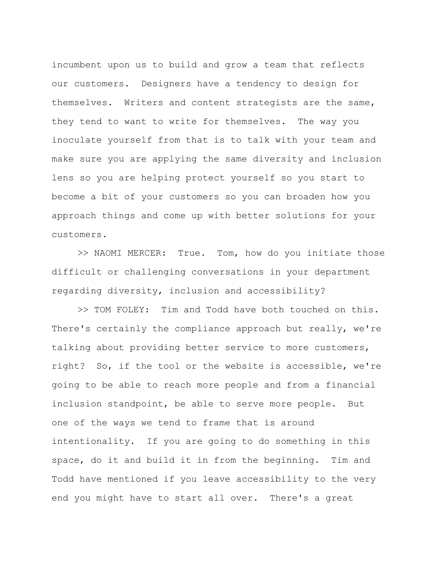incumbent upon us to build and grow a team that reflects our customers. Designers have a tendency to design for themselves. Writers and content strategists are the same, they tend to want to write for themselves. The way you inoculate yourself from that is to talk with your team and make sure you are applying the same diversity and inclusion lens so you are helping protect yourself so you start to become a bit of your customers so you can broaden how you approach things and come up with better solutions for your customers.

>> NAOMI MERCER: True. Tom, how do you initiate those difficult or challenging conversations in your department regarding diversity, inclusion and accessibility?

>> TOM FOLEY: Tim and Todd have both touched on this. There's certainly the compliance approach but really, we're talking about providing better service to more customers, right? So, if the tool or the website is accessible, we're going to be able to reach more people and from a financial inclusion standpoint, be able to serve more people. But one of the ways we tend to frame that is around intentionality. If you are going to do something in this space, do it and build it in from the beginning. Tim and Todd have mentioned if you leave accessibility to the very end you might have to start all over. There's a great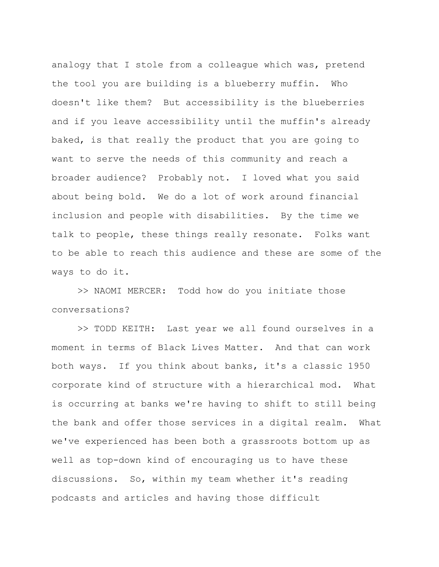analogy that I stole from a colleague which was, pretend the tool you are building is a blueberry muffin. Who doesn't like them? But accessibility is the blueberries and if you leave accessibility until the muffin's already baked, is that really the product that you are going to want to serve the needs of this community and reach a broader audience? Probably not. I loved what you said about being bold. We do a lot of work around financial inclusion and people with disabilities. By the time we talk to people, these things really resonate. Folks want to be able to reach this audience and these are some of the ways to do it.

>> NAOMI MERCER: Todd how do you initiate those conversations?

>> TODD KEITH: Last year we all found ourselves in a moment in terms of Black Lives Matter. And that can work both ways. If you think about banks, it's a classic 1950 corporate kind of structure with a hierarchical mod. What is occurring at banks we're having to shift to still being the bank and offer those services in a digital realm. What we've experienced has been both a grassroots bottom up as well as top-down kind of encouraging us to have these discussions. So, within my team whether it's reading podcasts and articles and having those difficult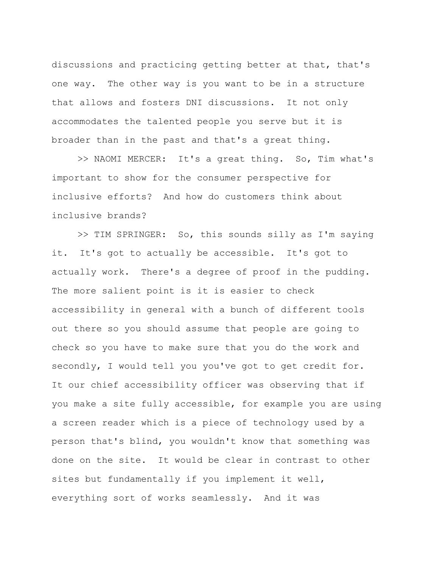discussions and practicing getting better at that, that's one way. The other way is you want to be in a structure that allows and fosters DNI discussions. It not only accommodates the talented people you serve but it is broader than in the past and that's a great thing.

>> NAOMI MERCER: It's a great thing. So, Tim what's important to show for the consumer perspective for inclusive efforts? And how do customers think about inclusive brands?

>> TIM SPRINGER: So, this sounds silly as I'm saying it. It's got to actually be accessible. It's got to actually work. There's a degree of proof in the pudding. The more salient point is it is easier to check accessibility in general with a bunch of different tools out there so you should assume that people are going to check so you have to make sure that you do the work and secondly, I would tell you you've got to get credit for. It our chief accessibility officer was observing that if you make a site fully accessible, for example you are using a screen reader which is a piece of technology used by a person that's blind, you wouldn't know that something was done on the site. It would be clear in contrast to other sites but fundamentally if you implement it well, everything sort of works seamlessly. And it was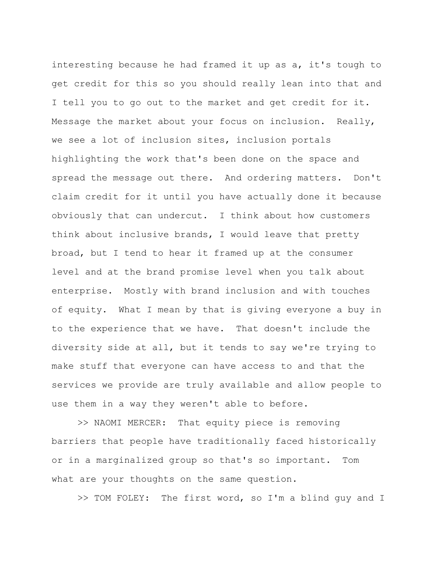interesting because he had framed it up as a, it's tough to get credit for this so you should really lean into that and I tell you to go out to the market and get credit for it. Message the market about your focus on inclusion. Really, we see a lot of inclusion sites, inclusion portals highlighting the work that's been done on the space and spread the message out there. And ordering matters. Don't claim credit for it until you have actually done it because obviously that can undercut. I think about how customers think about inclusive brands, I would leave that pretty broad, but I tend to hear it framed up at the consumer level and at the brand promise level when you talk about enterprise. Mostly with brand inclusion and with touches of equity. What I mean by that is giving everyone a buy in to the experience that we have. That doesn't include the diversity side at all, but it tends to say we're trying to make stuff that everyone can have access to and that the services we provide are truly available and allow people to use them in a way they weren't able to before.

>> NAOMI MERCER: That equity piece is removing barriers that people have traditionally faced historically or in a marginalized group so that's so important. Tom what are your thoughts on the same question.

>> TOM FOLEY: The first word, so I'm a blind guy and I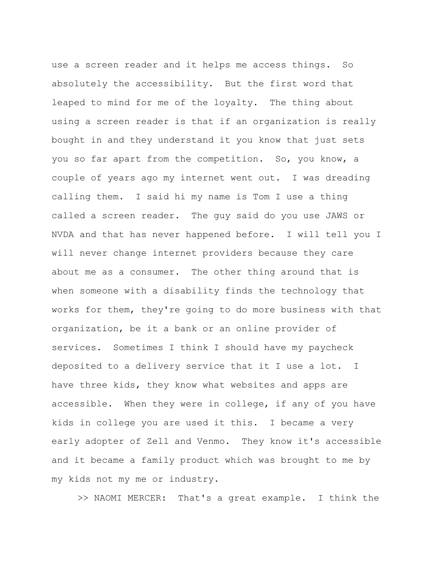use a screen reader and it helps me access things. So absolutely the accessibility. But the first word that leaped to mind for me of the loyalty. The thing about using a screen reader is that if an organization is really bought in and they understand it you know that just sets you so far apart from the competition. So, you know, a couple of years ago my internet went out. I was dreading calling them. I said hi my name is Tom I use a thing called a screen reader. The guy said do you use JAWS or NVDA and that has never happened before. I will tell you I will never change internet providers because they care about me as a consumer. The other thing around that is when someone with a disability finds the technology that works for them, they're going to do more business with that organization, be it a bank or an online provider of services. Sometimes I think I should have my paycheck deposited to a delivery service that it I use a lot. I have three kids, they know what websites and apps are accessible. When they were in college, if any of you have kids in college you are used it this. I became a very early adopter of Zell and Venmo. They know it's accessible and it became a family product which was brought to me by my kids not my me or industry.

>> NAOMI MERCER: That's a great example. I think the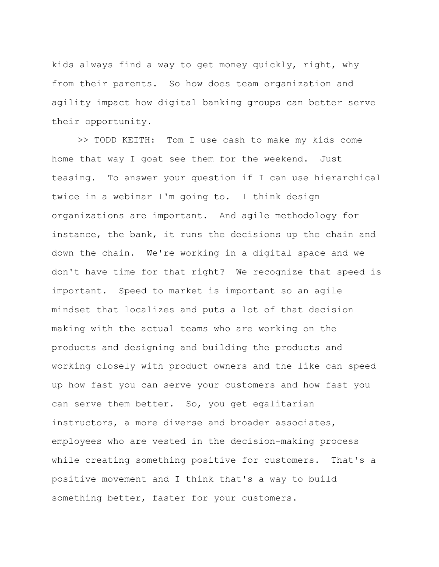kids always find a way to get money quickly, right, why from their parents. So how does team organization and agility impact how digital banking groups can better serve their opportunity.

>> TODD KEITH: Tom I use cash to make my kids come home that way I goat see them for the weekend. Just teasing. To answer your question if I can use hierarchical twice in a webinar I'm going to. I think design organizations are important. And agile methodology for instance, the bank, it runs the decisions up the chain and down the chain. We're working in a digital space and we don't have time for that right? We recognize that speed is important. Speed to market is important so an agile mindset that localizes and puts a lot of that decision making with the actual teams who are working on the products and designing and building the products and working closely with product owners and the like can speed up how fast you can serve your customers and how fast you can serve them better. So, you get egalitarian instructors, a more diverse and broader associates, employees who are vested in the decision-making process while creating something positive for customers. That's a positive movement and I think that's a way to build something better, faster for your customers.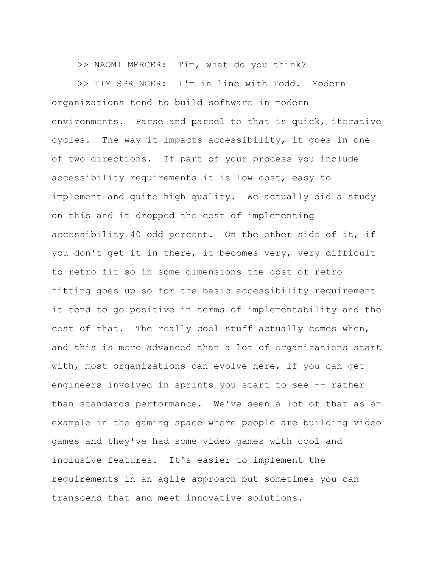>> NAOMI MERCER: Tim, what do you think?

>> TIM SPRINGER: I'm in line with Todd. Modern organizations tend to build software in modern environments. Parse and parcel to that is quick, iterative cycles. The way it impacts accessibility, it goes in one of two directions. If part of your process you include accessibility requirements it is low cost, easy to implement and quite high quality. We actually did a study on this and it dropped the cost of implementing accessibility 40 odd percent. On the other side of it, if you don't get it in there, it becomes very, very difficult to retro fit so in some dimensions the cost of retro fitting goes up so for the basic accessibility requirement it tend to go positive in terms of implementability and the cost of that. The really cool stuff actually comes when, and this is more advanced than a lot of organizations start with, most organizations can evolve here, if you can get engineers involved in sprints you start to see -- rather than standards performance. We've seen a lot of that as an example in the gaming space where people are building video games and they've had some video games with cool and inclusive features. It's easier to implement the requirements in an agile approach but sometimes you can transcend that and meet innovative solutions.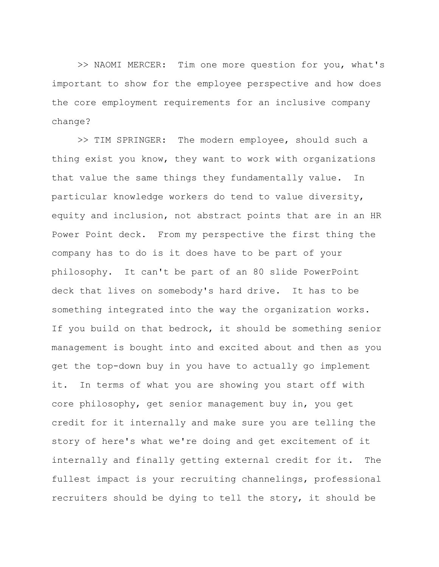>> NAOMI MERCER: Tim one more question for you, what's important to show for the employee perspective and how does the core employment requirements for an inclusive company change?

>> TIM SPRINGER: The modern employee, should such a thing exist you know, they want to work with organizations that value the same things they fundamentally value. In particular knowledge workers do tend to value diversity, equity and inclusion, not abstract points that are in an HR Power Point deck. From my perspective the first thing the company has to do is it does have to be part of your philosophy. It can't be part of an 80 slide PowerPoint deck that lives on somebody's hard drive. It has to be something integrated into the way the organization works. If you build on that bedrock, it should be something senior management is bought into and excited about and then as you get the top-down buy in you have to actually go implement it. In terms of what you are showing you start off with core philosophy, get senior management buy in, you get credit for it internally and make sure you are telling the story of here's what we're doing and get excitement of it internally and finally getting external credit for it. The fullest impact is your recruiting channelings, professional recruiters should be dying to tell the story, it should be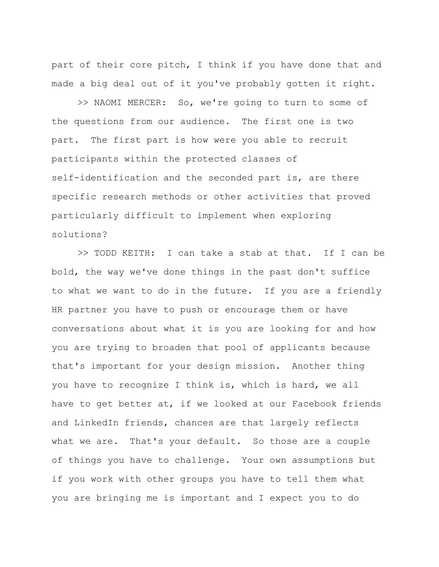part of their core pitch, I think if you have done that and made a big deal out of it you've probably gotten it right.

>> NAOMI MERCER: So, we're going to turn to some of the questions from our audience. The first one is two part. The first part is how were you able to recruit participants within the protected classes of self-identification and the seconded part is, are there specific research methods or other activities that proved particularly difficult to implement when exploring solutions?

>> TODD KEITH: I can take a stab at that. If I can be bold, the way we've done things in the past don't suffice to what we want to do in the future. If you are a friendly HR partner you have to push or encourage them or have conversations about what it is you are looking for and how you are trying to broaden that pool of applicants because that's important for your design mission. Another thing you have to recognize I think is, which is hard, we all have to get better at, if we looked at our Facebook friends and LinkedIn friends, chances are that largely reflects what we are. That's your default. So those are a couple of things you have to challenge. Your own assumptions but if you work with other groups you have to tell them what you are bringing me is important and I expect you to do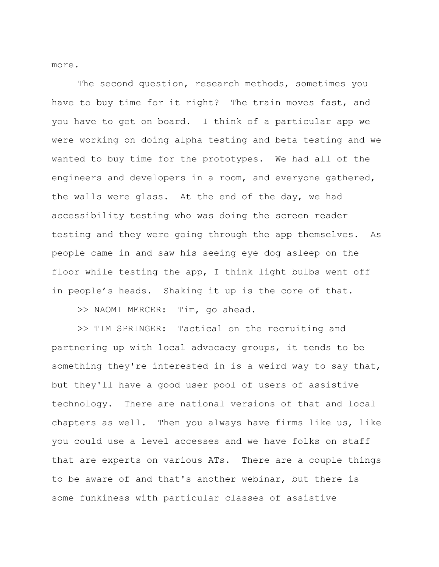more.

The second question, research methods, sometimes you have to buy time for it right? The train moves fast, and you have to get on board. I think of a particular app we were working on doing alpha testing and beta testing and we wanted to buy time for the prototypes. We had all of the engineers and developers in a room, and everyone gathered, the walls were glass. At the end of the day, we had accessibility testing who was doing the screen reader testing and they were going through the app themselves. As people came in and saw his seeing eye dog asleep on the floor while testing the app, I think light bulbs went off in people's heads. Shaking it up is the core of that.

>> NAOMI MERCER: Tim, go ahead.

>> TIM SPRINGER: Tactical on the recruiting and partnering up with local advocacy groups, it tends to be something they're interested in is a weird way to say that, but they'll have a good user pool of users of assistive technology. There are national versions of that and local chapters as well. Then you always have firms like us, like you could use a level accesses and we have folks on staff that are experts on various ATs. There are a couple things to be aware of and that's another webinar, but there is some funkiness with particular classes of assistive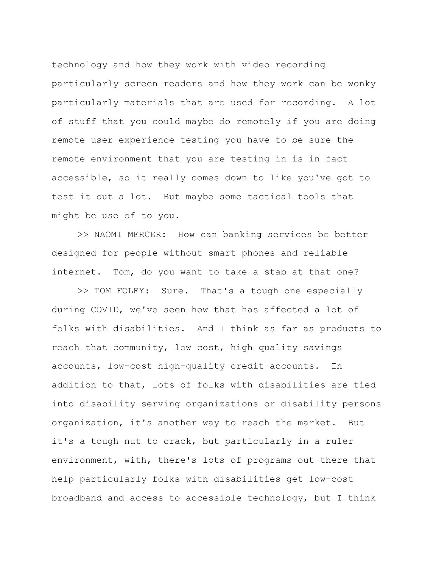technology and how they work with video recording particularly screen readers and how they work can be wonky particularly materials that are used for recording. A lot of stuff that you could maybe do remotely if you are doing remote user experience testing you have to be sure the remote environment that you are testing in is in fact accessible, so it really comes down to like you've got to test it out a lot. But maybe some tactical tools that might be use of to you.

>> NAOMI MERCER: How can banking services be better designed for people without smart phones and reliable internet. Tom, do you want to take a stab at that one?

>> TOM FOLEY: Sure. That's a tough one especially during COVID, we've seen how that has affected a lot of folks with disabilities. And I think as far as products to reach that community, low cost, high quality savings accounts, low-cost high-quality credit accounts. In addition to that, lots of folks with disabilities are tied into disability serving organizations or disability persons organization, it's another way to reach the market. But it's a tough nut to crack, but particularly in a ruler environment, with, there's lots of programs out there that help particularly folks with disabilities get low-cost broadband and access to accessible technology, but I think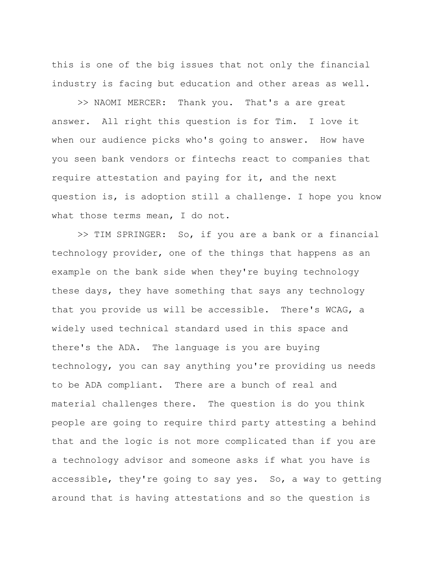this is one of the big issues that not only the financial industry is facing but education and other areas as well.

>> NAOMI MERCER: Thank you. That's a are great answer. All right this question is for Tim. I love it when our audience picks who's going to answer. How have you seen bank vendors or fintechs react to companies that require attestation and paying for it, and the next question is, is adoption still a challenge. I hope you know what those terms mean, I do not.

>> TIM SPRINGER: So, if you are a bank or a financial technology provider, one of the things that happens as an example on the bank side when they're buying technology these days, they have something that says any technology that you provide us will be accessible. There's WCAG, a widely used technical standard used in this space and there's the ADA. The language is you are buying technology, you can say anything you're providing us needs to be ADA compliant. There are a bunch of real and material challenges there. The question is do you think people are going to require third party attesting a behind that and the logic is not more complicated than if you are a technology advisor and someone asks if what you have is accessible, they're going to say yes. So, a way to getting around that is having attestations and so the question is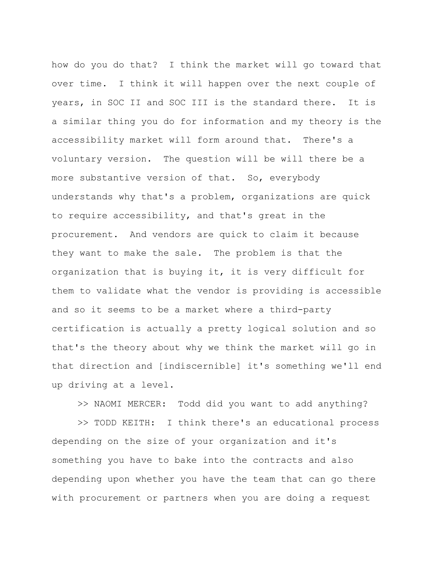how do you do that? I think the market will go toward that over time. I think it will happen over the next couple of years, in SOC II and SOC III is the standard there. It is a similar thing you do for information and my theory is the accessibility market will form around that. There's a voluntary version. The question will be will there be a more substantive version of that. So, everybody understands why that's a problem, organizations are quick to require accessibility, and that's great in the procurement. And vendors are quick to claim it because they want to make the sale. The problem is that the organization that is buying it, it is very difficult for them to validate what the vendor is providing is accessible and so it seems to be a market where a third-party certification is actually a pretty logical solution and so that's the theory about why we think the market will go in that direction and [indiscernible] it's something we'll end up driving at a level.

>> NAOMI MERCER: Todd did you want to add anything?

>> TODD KEITH: I think there's an educational process depending on the size of your organization and it's something you have to bake into the contracts and also depending upon whether you have the team that can go there with procurement or partners when you are doing a request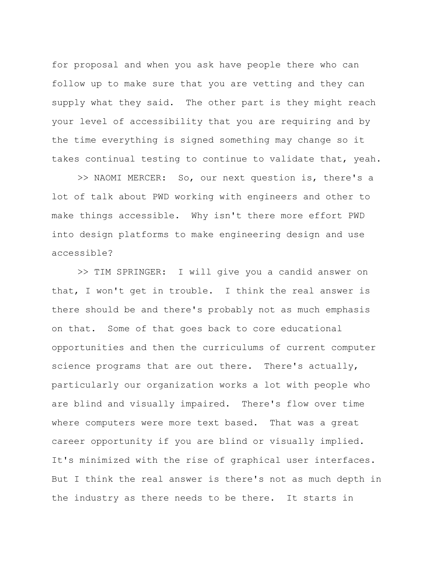for proposal and when you ask have people there who can follow up to make sure that you are vetting and they can supply what they said. The other part is they might reach your level of accessibility that you are requiring and by the time everything is signed something may change so it takes continual testing to continue to validate that, yeah.

>> NAOMI MERCER: So, our next question is, there's a lot of talk about PWD working with engineers and other to make things accessible. Why isn't there more effort PWD into design platforms to make engineering design and use accessible?

>> TIM SPRINGER: I will give you a candid answer on that, I won't get in trouble. I think the real answer is there should be and there's probably not as much emphasis on that. Some of that goes back to core educational opportunities and then the curriculums of current computer science programs that are out there. There's actually, particularly our organization works a lot with people who are blind and visually impaired. There's flow over time where computers were more text based. That was a great career opportunity if you are blind or visually implied. It's minimized with the rise of graphical user interfaces. But I think the real answer is there's not as much depth in the industry as there needs to be there. It starts in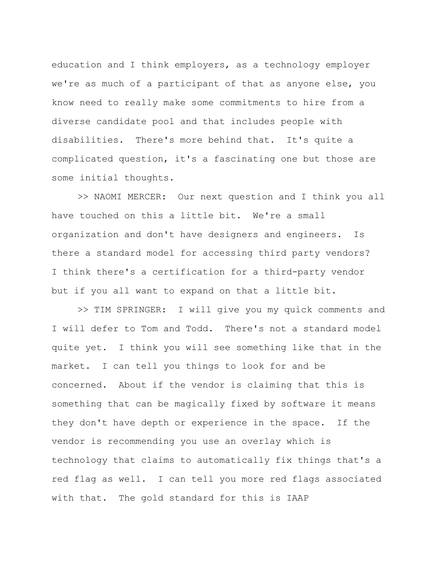education and I think employers, as a technology employer we're as much of a participant of that as anyone else, you know need to really make some commitments to hire from a diverse candidate pool and that includes people with disabilities. There's more behind that. It's quite a complicated question, it's a fascinating one but those are some initial thoughts.

>> NAOMI MERCER: Our next question and I think you all have touched on this a little bit. We're a small organization and don't have designers and engineers. Is there a standard model for accessing third party vendors? I think there's a certification for a third-party vendor but if you all want to expand on that a little bit.

>> TIM SPRINGER: I will give you my quick comments and I will defer to Tom and Todd. There's not a standard model quite yet. I think you will see something like that in the market. I can tell you things to look for and be concerned. About if the vendor is claiming that this is something that can be magically fixed by software it means they don't have depth or experience in the space. If the vendor is recommending you use an overlay which is technology that claims to automatically fix things that's a red flag as well. I can tell you more red flags associated with that. The gold standard for this is IAAP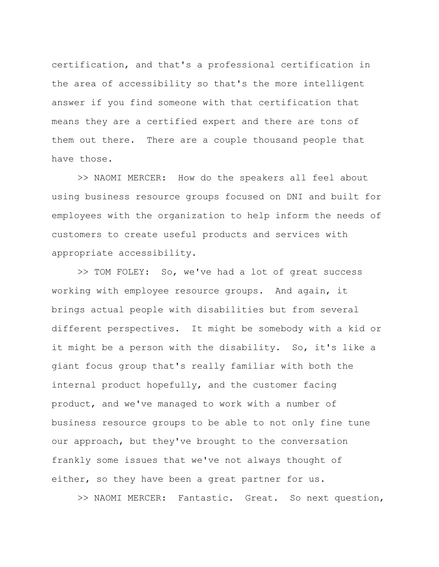certification, and that's a professional certification in the area of accessibility so that's the more intelligent answer if you find someone with that certification that means they are a certified expert and there are tons of them out there. There are a couple thousand people that have those.

>> NAOMI MERCER: How do the speakers all feel about using business resource groups focused on DNI and built for employees with the organization to help inform the needs of customers to create useful products and services with appropriate accessibility.

>> TOM FOLEY: So, we've had a lot of great success working with employee resource groups. And again, it brings actual people with disabilities but from several different perspectives. It might be somebody with a kid or it might be a person with the disability. So, it's like a giant focus group that's really familiar with both the internal product hopefully, and the customer facing product, and we've managed to work with a number of business resource groups to be able to not only fine tune our approach, but they've brought to the conversation frankly some issues that we've not always thought of either, so they have been a great partner for us.

>> NAOMI MERCER: Fantastic. Great. So next question,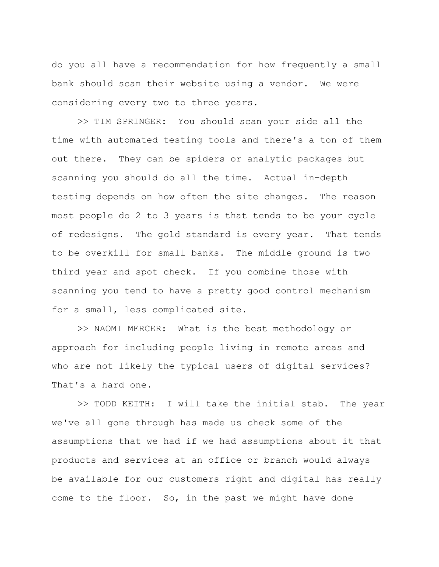do you all have a recommendation for how frequently a small bank should scan their website using a vendor. We were considering every two to three years.

>> TIM SPRINGER: You should scan your side all the time with automated testing tools and there's a ton of them out there. They can be spiders or analytic packages but scanning you should do all the time. Actual in-depth testing depends on how often the site changes. The reason most people do 2 to 3 years is that tends to be your cycle of redesigns. The gold standard is every year. That tends to be overkill for small banks. The middle ground is two third year and spot check. If you combine those with scanning you tend to have a pretty good control mechanism for a small, less complicated site.

>> NAOMI MERCER: What is the best methodology or approach for including people living in remote areas and who are not likely the typical users of digital services? That's a hard one.

>> TODD KEITH: I will take the initial stab. The year we've all gone through has made us check some of the assumptions that we had if we had assumptions about it that products and services at an office or branch would always be available for our customers right and digital has really come to the floor. So, in the past we might have done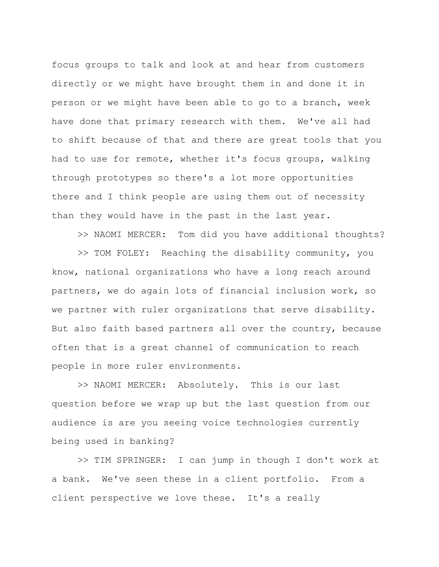focus groups to talk and look at and hear from customers directly or we might have brought them in and done it in person or we might have been able to go to a branch, week have done that primary research with them. We've all had to shift because of that and there are great tools that you had to use for remote, whether it's focus groups, walking through prototypes so there's a lot more opportunities there and I think people are using them out of necessity than they would have in the past in the last year.

>> NAOMI MERCER: Tom did you have additional thoughts?

>> TOM FOLEY: Reaching the disability community, you know, national organizations who have a long reach around partners, we do again lots of financial inclusion work, so we partner with ruler organizations that serve disability. But also faith based partners all over the country, because often that is a great channel of communication to reach people in more ruler environments.

>> NAOMI MERCER: Absolutely. This is our last question before we wrap up but the last question from our audience is are you seeing voice technologies currently being used in banking?

>> TIM SPRINGER: I can jump in though I don't work at a bank. We've seen these in a client portfolio. From a client perspective we love these. It's a really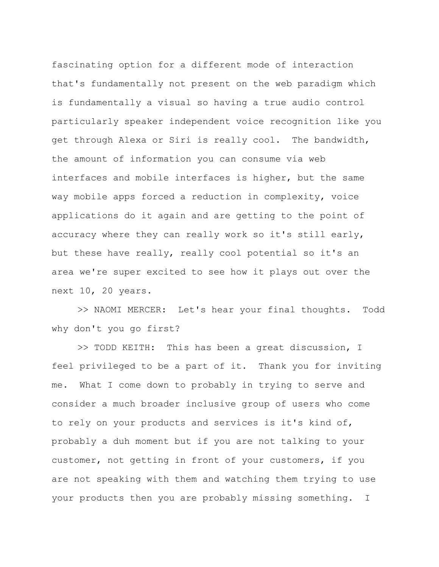fascinating option for a different mode of interaction that's fundamentally not present on the web paradigm which is fundamentally a visual so having a true audio control particularly speaker independent voice recognition like you get through Alexa or Siri is really cool. The bandwidth, the amount of information you can consume via web interfaces and mobile interfaces is higher, but the same way mobile apps forced a reduction in complexity, voice applications do it again and are getting to the point of accuracy where they can really work so it's still early, but these have really, really cool potential so it's an area we're super excited to see how it plays out over the next 10, 20 years.

>> NAOMI MERCER: Let's hear your final thoughts. Todd why don't you go first?

>> TODD KEITH: This has been a great discussion, I feel privileged to be a part of it. Thank you for inviting me. What I come down to probably in trying to serve and consider a much broader inclusive group of users who come to rely on your products and services is it's kind of, probably a duh moment but if you are not talking to your customer, not getting in front of your customers, if you are not speaking with them and watching them trying to use your products then you are probably missing something. I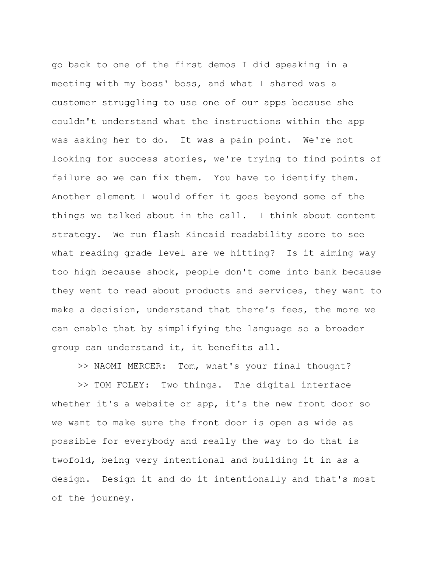go back to one of the first demos I did speaking in a meeting with my boss' boss, and what I shared was a customer struggling to use one of our apps because she couldn't understand what the instructions within the app was asking her to do. It was a pain point. We're not looking for success stories, we're trying to find points of failure so we can fix them. You have to identify them. Another element I would offer it goes beyond some of the things we talked about in the call. I think about content strategy. We run flash Kincaid readability score to see what reading grade level are we hitting? Is it aiming way too high because shock, people don't come into bank because they went to read about products and services, they want to make a decision, understand that there's fees, the more we can enable that by simplifying the language so a broader group can understand it, it benefits all.

>> NAOMI MERCER: Tom, what's your final thought?

>> TOM FOLEY: Two things. The digital interface whether it's a website or app, it's the new front door so we want to make sure the front door is open as wide as possible for everybody and really the way to do that is twofold, being very intentional and building it in as a design. Design it and do it intentionally and that's most of the journey.